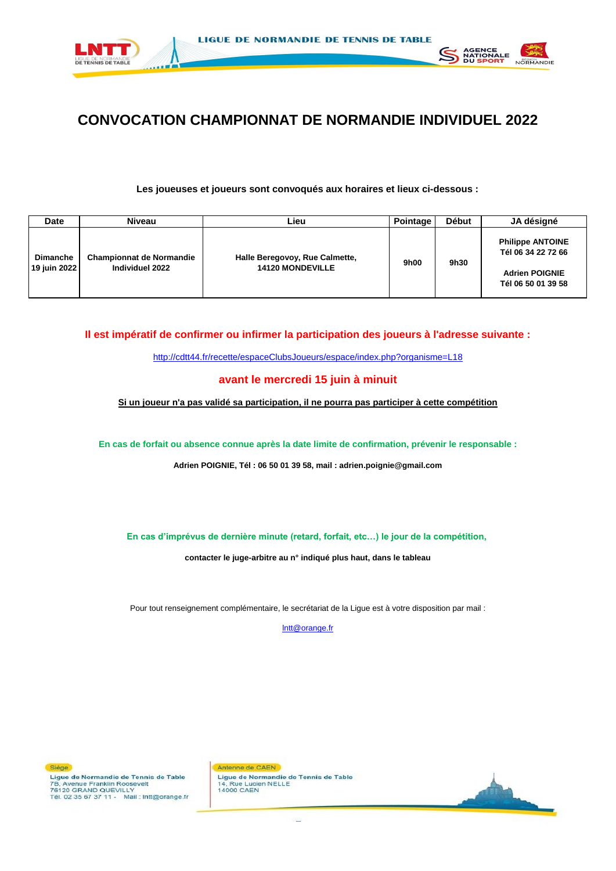



# **CONVOCATION CHAMPIONNAT DE NORMANDIE INDIVIDUEL 2022**

**Les joueuses et joueurs sont convoqués aux horaires et lieux ci-dessous :**

| <b>Date</b>                     | <b>Niveau</b>                                      | Lieu                                                      | Pointage | <b>Début</b> | JA désigné                                                                                   |
|---------------------------------|----------------------------------------------------|-----------------------------------------------------------|----------|--------------|----------------------------------------------------------------------------------------------|
| <b>Dimanche</b><br>19 juin 2022 | <b>Championnat de Normandie</b><br>Individuel 2022 | Halle Beregovoy, Rue Calmette,<br><b>14120 MONDEVILLE</b> | 9h00     | 9h30         | <b>Philippe ANTOINE</b><br>Tél 06 34 22 72 66<br><b>Adrien POIGNIE</b><br>Tél 06 50 01 39 58 |

**Il est impératif de confirmer ou infirmer la participation des joueurs à l'adresse suivante :**

[h](http://cdtt44.fr/recette/espaceClubsJoueurs/espace/index.php?organisme=L18)ttp://cdtt44.fr/recette/espaceClubsJoueurs/espace/index.php?organisme=L18

### **avant le mercredi 15 juin à minuit**

**Si un joueur n'a pas validé sa participation, il ne pourra pas participer à cette compétition**

**En cas de forfait ou absence connue après la date limite de confirmation, prévenir le responsable :**

**Adrien POIGNIE, Tél : 06 50 01 39 58, mail : adrien.poignie@gmail.com**

**En cas d'imprévus de dernière minute (retard, forfait, etc…) le jour de la compétition,** 

**contacter le juge-arbitre au n° indiqué plus haut, dans le tableau**

Pour tout renseignement complémentaire, le secrétariat de la Ligue est à votre disposition par mail :

[l](mailto:lntt@orange.fr)ntt@orange.fr

Siège Ligue de Normandie de Tennis de Table 7B, Avenue Franklin Roosevelt 76120 GRAND QUEVILLY Tél. 02 35 67 37 11 - Mail : Intt@orange.fr

Antenne de CAEN Ligue de Normandie de Tennis de Table 14, Rue Lucien NELLE

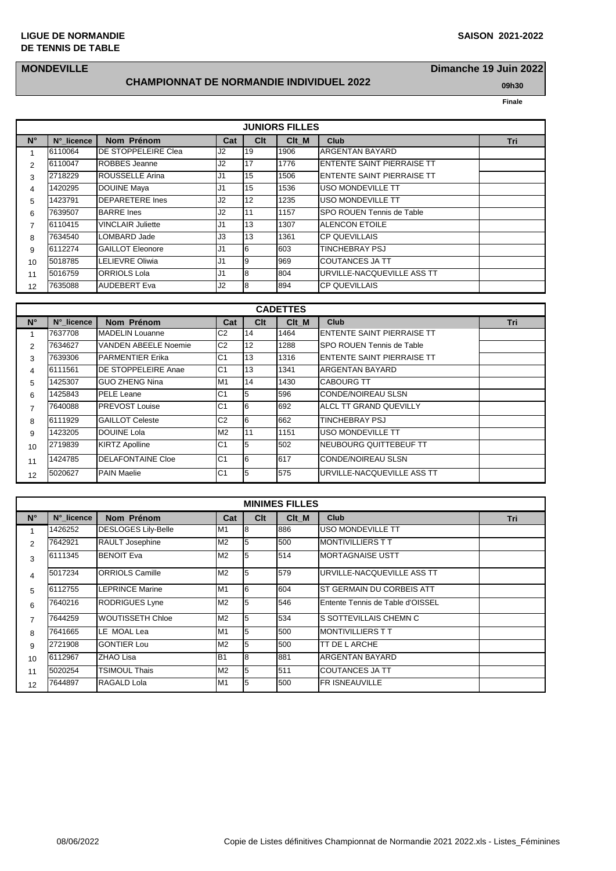#### **LIGUE DE NORMANDIE** DE TENNIS DE TABLE

## **MONDEVILLE**

#### **CHAMPIONNAT DE NORMANDIE INDIVIDUEL 2022**

Dimanche 19 Juin 2022 09h30

|                |            |                          |                |                 | <b>JUNIORS FILLES</b> |                                   |     |
|----------------|------------|--------------------------|----------------|-----------------|-----------------------|-----------------------------------|-----|
| $N^{\circ}$    | N° licence | Nom Prénom               | Cat            | C <sub>lt</sub> | Clt M                 | <b>Club</b>                       | Tri |
|                | 6110064    | IDE STOPPELEIRE Clea     | J <sub>2</sub> | 19              | 1906                  | <b>ARGENTAN BAYARD</b>            |     |
| $\overline{2}$ | 6110047    | <b>ROBBES</b> Jeanne     | J2             | <b>17</b>       | 1776                  | <b>ENTENTE SAINT PIERRAISE TT</b> |     |
| 3              | 2718229    | <b>ROUSSELLE Arina</b>   | IJ1            | 15              | 1506                  | <b>ENTENTE SAINT PIERRAISE TT</b> |     |
| 4              | 1420295    | <b>DOUINE Maya</b>       | IJ1            | 15              | 1536                  | USO MONDEVILLE TT                 |     |
| 5              | 1423791    | <b>DEPARETERE Ines</b>   | J <sub>2</sub> | 12              | 1235                  | USO MONDEVILLE TT                 |     |
| 6              | 7639507    | <b>BARRE</b> Ines        | J <sub>2</sub> | l 11            | 1157                  | <b>SPO ROUEN Tennis de Table</b>  |     |
| $\overline{7}$ | 6110415    | <b>VINCLAIR Juliette</b> | IJ1            | 13              | 1307                  | <b>ALENCON ETOILE</b>             |     |
| 8              | 7634540    | LOMBARD Jade             | IJ3            | 13              | 1361                  | <b>CP QUEVILLAIS</b>              |     |
| 9              | 6112274    | <b>GAILLOT Eleonore</b>  | IJ1            | l6              | 603                   | <b>TINCHEBRAY PSJ</b>             |     |
| 10             | 5018785    | LELIEVRE Oliwia          | J <sub>1</sub> | 19              | 969                   | <b>COUTANCES JA TT</b>            |     |
| 11             | 5016759    | <b>ORRIOLS Lola</b>      | IJ1            | l8              | 804                   | URVILLE-NACQUEVILLE ASS TT        |     |
| 12             | 7635088    | <b>AUDEBERT Eva</b>      | J2             | 18              | 894                   | ICP QUEVILLAIS                    |     |

|                | <b>CADETTES</b> |                          |                |                       |       |                            |     |  |  |  |  |  |  |
|----------------|-----------------|--------------------------|----------------|-----------------------|-------|----------------------------|-----|--|--|--|--|--|--|
| $N^{\circ}$    | N° licence      | Nom Prénom               | Cat            | <b>C<sub>It</sub></b> | Clt M | <b>Club</b>                | Tri |  |  |  |  |  |  |
|                | 7637708         | <b>MADELIN Louanne</b>   | C <sub>2</sub> | 14                    | 1464  | ENTENTE SAINT PIERRAISE TT |     |  |  |  |  |  |  |
| $\mathcal{P}$  | 7634627         | VANDEN ABEELE Noemie     | C <sub>2</sub> | 12                    | 1288  | SPO ROUEN Tennis de Table  |     |  |  |  |  |  |  |
| 3              | 7639306         | <b>PARMENTIER Erika</b>  | C <sub>1</sub> | 13                    | 1316  | ENTENTE SAINT PIERRAISE TT |     |  |  |  |  |  |  |
| $\overline{4}$ | 6111561         | DE STOPPELEIRE Anae      | C <sub>1</sub> | 13                    | 1341  | ARGENTAN BAYARD            |     |  |  |  |  |  |  |
| 5              | 1425307         | <b>GUO ZHENG Nina</b>    | M1             | 14                    | 1430  | <b>CABOURG TT</b>          |     |  |  |  |  |  |  |
| 6              | 1425843         | <b>PELE Leane</b>        | C <sub>1</sub> | 5                     | 596   | <b>CONDE/NOIREAU SLSN</b>  |     |  |  |  |  |  |  |
| $\overline{7}$ | 7640088         | <b>PREVOST Louise</b>    | C <sub>1</sub> | l6                    | 692   | ALCL TT GRAND QUEVILLY     |     |  |  |  |  |  |  |
| 8              | 6111929         | <b>GAILLOT Celeste</b>   | C <sub>2</sub> | I6                    | 662   | TINCHEBRAY PSJ             |     |  |  |  |  |  |  |
| 9              | 1423205         | DOUINE Lola              | M2             | 11                    | 1151  | USO MONDEVILLE TT          |     |  |  |  |  |  |  |
| 10             | 2719839         | <b>KIRTZ Apolline</b>    | C <sub>1</sub> | 5                     | 502   | NEUBOURG QUITTEBEUF TT     |     |  |  |  |  |  |  |
| 11             | 1424785         | <b>DELAFONTAINE Cloe</b> | C <sub>1</sub> | l6                    | 617   | <b>CONDE/NOIREAU SLSN</b>  |     |  |  |  |  |  |  |
| 12             | 5020627         | <b>PAIN Maelie</b>       | C <sub>1</sub> | 5                     | 575   | URVILLE-NACQUEVILLE ASS TT |     |  |  |  |  |  |  |

|                | <b>MINIMES FILLES</b> |                            |                 |     |       |                                  |     |  |  |  |  |  |
|----------------|-----------------------|----------------------------|-----------------|-----|-------|----------------------------------|-----|--|--|--|--|--|
| $N^{\circ}$    | N° licence            | Nom Prénom                 | Cat             | Clt | Clt M | <b>Club</b>                      | Tri |  |  |  |  |  |
| 1              | 1426252               | <b>DESLOGES Lily-Belle</b> | M1              | 18  | 886   | USO MONDEVILLE TT                |     |  |  |  |  |  |
| $\overline{2}$ | 7642921               | RAULT Josephine            | M <sub>2</sub>  | 15  | 500   | <b>MONTIVILLIERS T T</b>         |     |  |  |  |  |  |
| 3              | 6111345               | <b>BENOIT Eva</b>          | M <sub>2</sub>  | 15  | 514   | <b>MORTAGNAISE USTT</b>          |     |  |  |  |  |  |
| 4              | 5017234               | <b>ORRIOLS Camille</b>     | M <sub>2</sub>  | 5   | 579   | URVILLE-NACQUEVILLE ASS TT       |     |  |  |  |  |  |
| 5              | 6112755               | <b>LEPRINCE Marine</b>     | M1              | l6  | 604   | ST GERMAIN DU CORBEIS ATT        |     |  |  |  |  |  |
| 6              | 7640216               | <b>RODRIGUES Lyne</b>      | M <sub>2</sub>  | 5   | 546   | Entente Tennis de Table d'OISSEL |     |  |  |  |  |  |
| 7              | 7644259               | WOUTISSETH Chloe           | M <sub>2</sub>  | 5   | 534   | S SOTTEVILLAIS CHEMN C           |     |  |  |  |  |  |
| 8              | 7641665               | LE MOAL Lea                | M1              | 15  | 500   | <b>MONTIVILLIERS TT</b>          |     |  |  |  |  |  |
| 9              | 2721908               | <b>GONTIER Lou</b>         | M <sub>2</sub>  | 5   | 500   | TT DE L ARCHE                    |     |  |  |  |  |  |
| 10             | 6112967               | ZHAO Lisa                  | IB <sub>1</sub> | l8  | 881   | <b>ARGENTAN BAYARD</b>           |     |  |  |  |  |  |
| 11             | 5020254               | TSIMOUL Thais              | M <sub>2</sub>  | 5   | 511   | COUTANCES JA TT                  |     |  |  |  |  |  |
| 12             | 7644897               | RAGALD Lola                | M <sub>1</sub>  | l5  | 500   | <b>FR ISNEAUVILLE</b>            |     |  |  |  |  |  |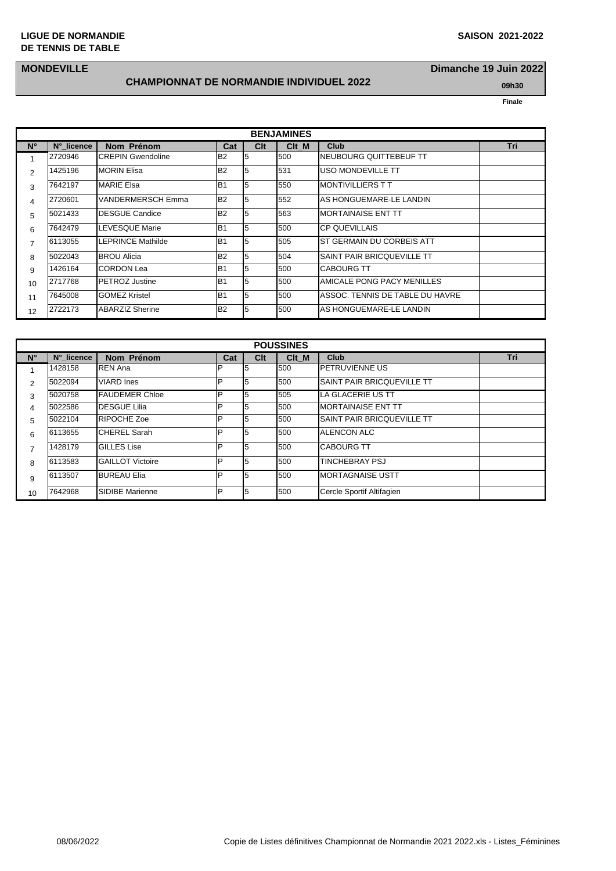### **MONDEVILLE**

## **CHAMPIONNAT DE NORMANDIE INDIVIDUEL 2022 199h30 09h30**

**Dimanche 19 Juin 2022**

|                |            |                          |                |     | <b>BENJAMINES</b> |                                 |     |
|----------------|------------|--------------------------|----------------|-----|-------------------|---------------------------------|-----|
|                |            |                          |                |     |                   |                                 |     |
| $N^{\circ}$    | N° licence | Nom Prénom               | Cat            | Clt | C <sub>It</sub> M | Club                            | Tri |
| 1              | 2720946    | <b>CREPIN Gwendoline</b> | B <sub>2</sub> | 5   | 500               | NEUBOURG QUITTEBEUF TT          |     |
| $\overline{2}$ | 1425196    | <b>MORIN Elisa</b>       | B <sub>2</sub> | 5   | 531               | USO MONDEVILLE TT               |     |
| 3              | 7642197    | <b>MARIE Elsa</b>        | lB1            | 5   | 550               | <b>MONTIVILLIERS T T</b>        |     |
| 4              | 2720601    | VANDERMERSCH Emma        | B <sub>2</sub> | 5   | 552               | AS HONGUEMARE-LE LANDIN         |     |
| 5              | 5021433    | DESGUE Candice           | B <sub>2</sub> | 5   | 563               | <b>MORTAINAISE ENT TT</b>       |     |
| 6              | 7642479    | LEVESQUE Marie           | lB1            | 5   | 500               | <b>CP QUEVILLAIS</b>            |     |
| 7              | 6113055    | LEPRINCE Mathilde        | lB1            | 5   | 505               | ST GERMAIN DU CORBEIS ATT       |     |
| 8              | 5022043    | <b>BROU Alicia</b>       | B <sub>2</sub> | 5   | 504               | SAINT PAIR BRICQUEVILLE TT      |     |
| 9              | 1426164    | <b>CORDON Lea</b>        | IB1            | 5   | 500               | <b>CABOURG TT</b>               |     |
| 10             | 2717768    | <b>PETROZ Justine</b>    | lB1            | 5   | 500               | AMICALE PONG PACY MENILLES      |     |
| 11             | 7645008    | <b>GOMEZ Kristel</b>     | IB1            | 5   | 500               | ASSOC. TENNIS DE TABLE DU HAVRE |     |
| 12             | 2722173    | <b>ABARZIZ Sherine</b>   | B <sub>2</sub> | l5  | 500               | AS HONGUEMARE-LE LANDIN         |     |

|                |            |                         |     |     | <b>POUSSINES</b> |                                   |     |
|----------------|------------|-------------------------|-----|-----|------------------|-----------------------------------|-----|
| $N^{\circ}$    | N° licence | Nom Prénom              | Cat | Clt | Clt M            | Club                              | Tri |
|                | 1428158    | <b>REN Ana</b>          | P   | 15  | 500              | IPETRUVIENNE US                   |     |
| $\overline{2}$ | 5022094    | <b>VIARD</b> Ines       | D   | 15  | 500              | <b>SAINT PAIR BRICQUEVILLE TT</b> |     |
| 3              | 5020758    | <b>FAUDEMER Chloe</b>   | P   | 5   | 505              | LA GLACERIE US TT                 |     |
| 4              | 5022586    | <b>DESGUE Lilia</b>     | P   | 5   | 500              | <b>IMORTAINAISE ENT TT</b>        |     |
| 5              | 5022104    | <b>RIPOCHE Zoe</b>      | P   | 5   | 500              | <b>SAINT PAIR BRICQUEVILLE TT</b> |     |
| 6              | 6113655    | <b>ICHEREL Sarah</b>    | P   | 5   | 500              | <b>ALENCON ALC</b>                |     |
| $\overline{ }$ | 1428179    | <b>GILLES Lise</b>      | P   | 15  | 500              | <b>CABOURG TT</b>                 |     |
| 8              | 6113583    | <b>GAILLOT Victoire</b> | P   | 5   | 500              | <b>TINCHEBRAY PSJ</b>             |     |
| 9              | 6113507    | <b>BUREAU Elia</b>      | P   | 15  | 500              | <b>IMORTAGNAISE USTT</b>          |     |
| 10             | 7642968    | <b>SIDIBE Marienne</b>  | P   | l5  | 500              | Cercle Sportif Altifagien         |     |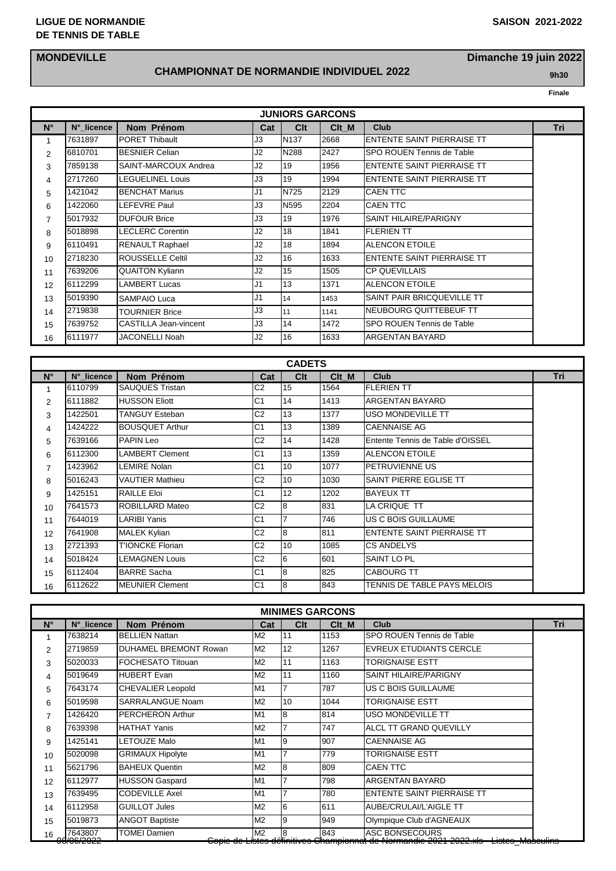#### **LIGUE DE NORMANDIE SAISON 2021-2022 DE TENNIS DE TABLE**

## **MONDEVILLE Dimanche 19 juin 2022**

## **CHAMPIONNAT DE NORMANDIE INDIVIDUEL 2022 9h30**

|                |            |                              |                | <b>JUNIORS GARCONS</b> |       |                                   |     |
|----------------|------------|------------------------------|----------------|------------------------|-------|-----------------------------------|-----|
| $N^{\circ}$    | N°_licence | Nom Prénom                   | Cat            | Clt                    | Clt M | <b>Club</b>                       | Tri |
| 1.             | 7631897    | <b>PORET Thibault</b>        | J3             | N137                   | 2668  | <b>ENTENTE SAINT PIERRAISE TT</b> |     |
| $\overline{2}$ | 6810701    | <b>BESNIER Celian</b>        | J2             | N288                   | 2427  | SPO ROUEN Tennis de Table         |     |
| 3              | 7859138    | SAINT-MARCOUX Andrea         | J2             | 19                     | 1956  | <b>ENTENTE SAINT PIERRAISE TT</b> |     |
| 4              | 2717260    | <b>LEGUELINEL Louis</b>      | JЗ             | 19                     | 1994  | ENTENTE SAINT PIERRAISE TT        |     |
| 5              | 1421042    | <b>BENCHAT Marius</b>        | J <sub>1</sub> | N725                   | 2129  | <b>CAEN TTC</b>                   |     |
| 6              | 1422060    | LEFEVRE Paul                 | JЗ             | N595                   | 2204  | <b>CAEN TTC</b>                   |     |
| 7              | 5017932    | <b>DUFOUR Brice</b>          | JЗ             | 19                     | 1976  | <b>SAINT HILAIRE/PARIGNY</b>      |     |
| 8              | 5018898    | <b>LECLERC Corentin</b>      | J2             | 18                     | 1841  | <b>FLERIEN TT</b>                 |     |
| 9              | 6110491    | <b>RENAULT Raphael</b>       | J2             | 18                     | 1894  | <b>ALENCON ETOILE</b>             |     |
| 10             | 2718230    | <b>ROUSSELLE Celtil</b>      | J2             | 16                     | 1633  | ENTENTE SAINT PIERRAISE TT        |     |
| 11             | 7639206    | <b>QUAITON Kyliann</b>       | J <sub>2</sub> | 15                     | 1505  | <b>CP QUEVILLAIS</b>              |     |
| 12             | 6112299    | <b>LAMBERT Lucas</b>         | J <sub>1</sub> | 13                     | 1371  | <b>ALENCON ETOILE</b>             |     |
| 13             | 5019390    | <b>SAMPAIO Luca</b>          | J <sub>1</sub> | 14                     | 1453  | SAINT PAIR BRICQUEVILLE TT        |     |
| 14             | 2719838    | <b>TOURNIER Brice</b>        | J3             | 11                     | 1141  | NEUBOURG QUITTEBEUF TT            |     |
| 15             | 7639752    | <b>CASTILLA Jean-vincent</b> | J3             | 14                     | 1472  | SPO ROUEN Tennis de Table         |     |
| 16             | 6111977    | JACONELLI Noah               | J2             | 16                     | 1633  | ARGENTAN BAYARD                   |     |

| <b>CADETS</b>  |            |                         |                |     |       |                                   |     |  |  |  |  |  |
|----------------|------------|-------------------------|----------------|-----|-------|-----------------------------------|-----|--|--|--|--|--|
| $N^{\circ}$    | N° licence | Nom Prénom              | Cat            | Clt | Clt M | <b>Club</b>                       | Tri |  |  |  |  |  |
| 1              | 6110799    | <b>SAUQUES Tristan</b>  | C <sub>2</sub> | 15  | 1564  | <b>FLERIEN TT</b>                 |     |  |  |  |  |  |
| 2              | 6111882    | <b>HUSSON Eliott</b>    | C <sub>1</sub> | 14  | 1413  | ARGENTAN BAYARD                   |     |  |  |  |  |  |
| 3              | 1422501    | TANGUY Esteban          | C <sub>2</sub> | 13  | 1377  | <b>USO MONDEVILLE TT</b>          |     |  |  |  |  |  |
| 4              | 1424222    | <b>BOUSQUET Arthur</b>  | C <sub>1</sub> | 13  | 1389  | <b>CAENNAISE AG</b>               |     |  |  |  |  |  |
| 5              | 7639166    | <b>PAPIN Leo</b>        | C <sub>2</sub> | 14  | 1428  | Entente Tennis de Table d'OISSEL  |     |  |  |  |  |  |
| 6              | 6112300    | <b>LAMBERT Clement</b>  | C <sub>1</sub> | 13  | 1359  | <b>ALENCON ETOILE</b>             |     |  |  |  |  |  |
| $\overline{7}$ | 1423962    | LEMIRE Nolan            | C <sub>1</sub> | 10  | 1077  | <b>PETRUVIENNE US</b>             |     |  |  |  |  |  |
| 8              | 5016243    | VAUTIER Mathieu         | C <sub>2</sub> | 10  | 1030  | SAINT PIERRE EGLISE TT            |     |  |  |  |  |  |
| 9              | 1425151    | RAILLE Eloi             | C <sub>1</sub> | 12  | 1202  | <b>BAYEUX TT</b>                  |     |  |  |  |  |  |
| 10             | 7641573    | <b>ROBILLARD Mateo</b>  | C <sub>2</sub> | 8   | 831   | LA CRIQUE TT                      |     |  |  |  |  |  |
| 11             | 7644019    | LARIBI Yanis            | C <sub>1</sub> | 7   | 746   | US C BOIS GUILLAUME               |     |  |  |  |  |  |
| 12             | 7641908    | MALEK Kylian            | C <sub>2</sub> | 8   | 811   | <b>ENTENTE SAINT PIERRAISE TT</b> |     |  |  |  |  |  |
| 13             | 2721393    | <b>T'IONCKE Florian</b> | C <sub>2</sub> | 10  | 1085  | <b>CS ANDELYS</b>                 |     |  |  |  |  |  |
| 14             | 5018424    | <b>LEMAGNEN Louis</b>   | C <sub>2</sub> | 6   | 1601  | SAINT LO PL                       |     |  |  |  |  |  |
| 15             | 6112404    | <b>BARRE Sacha</b>      | C <sub>1</sub> | 8   | 825   | <b>CABOURG TT</b>                 |     |  |  |  |  |  |
| 16             | 6112622    | <b>MEUNIER Clement</b>  | C <sub>1</sub> | 8   | 843   | TENNIS DE TABLE PAYS MELOIS       |     |  |  |  |  |  |

| <b>MINIMES GARCONS</b> |                                      |                              |                |              |       |                                                                                                                                                |     |  |  |  |  |
|------------------------|--------------------------------------|------------------------------|----------------|--------------|-------|------------------------------------------------------------------------------------------------------------------------------------------------|-----|--|--|--|--|
| $N^{\circ}$            | N° licence                           | Nom Prénom                   | Cat            | <b>Clt</b>   | Clt M | <b>Club</b>                                                                                                                                    | Tri |  |  |  |  |
|                        | 7638214                              | <b>BELLIEN Nattan</b>        | M <sub>2</sub> | l11          | 1153  | SPO ROUEN Tennis de Table                                                                                                                      |     |  |  |  |  |
| $\overline{2}$         | 2719859                              | <b>DUHAMEL BREMONT Rowan</b> | M <sub>2</sub> | 12           | 1267  | EVREUX ETUDIANTS CERCLE                                                                                                                        |     |  |  |  |  |
| 3                      | 5020033                              | <b>FOCHESATO Titouan</b>     | M <sub>2</sub> | 11           | 1163  | <b>TORIGNAISE ESTT</b>                                                                                                                         |     |  |  |  |  |
| 4                      | 5019649                              | <b>HUBERT Evan</b>           | M <sub>2</sub> | l11          | 1160  | <b>SAINT HILAIRE/PARIGNY</b>                                                                                                                   |     |  |  |  |  |
| 5                      | 7643174                              | <b>CHEVALIER Leopold</b>     | M <sub>1</sub> | 7            | 787   | US C BOIS GUILLAUME                                                                                                                            |     |  |  |  |  |
| 6                      | 5019598                              | <b>SARRALANGUE Noam</b>      | M <sub>2</sub> | 110          | 1044  | <b>TORIGNAISE ESTT</b>                                                                                                                         |     |  |  |  |  |
| 7                      | 1426420                              | <b>PERCHERON Arthur</b>      | M <sub>1</sub> | 8            | 814   | USO MONDEVILLE TT                                                                                                                              |     |  |  |  |  |
| 8                      | 7639398                              | <b>HATHAT Yanis</b>          | M <sub>2</sub> |              | 747   | <b>ALCL TT GRAND QUEVILLY</b>                                                                                                                  |     |  |  |  |  |
| 9                      | 1425141                              | <b>LETOUZE Malo</b>          | M1             | 9            | 907   | <b>CAENNAISE AG</b>                                                                                                                            |     |  |  |  |  |
| 10                     | 5020098                              | <b>GRIMAUX Hipolyte</b>      | M1             |              | 779   | <b>TORIGNAISE ESTT</b>                                                                                                                         |     |  |  |  |  |
| 11                     | 5621796                              | <b>BAHEUX Quentin</b>        | M <sub>2</sub> | 8            | 809   | <b>CAEN TTC</b>                                                                                                                                |     |  |  |  |  |
| 12                     | 6112977                              | <b>HUSSON Gaspard</b>        | M1             |              | 798   | ARGENTAN BAYARD                                                                                                                                |     |  |  |  |  |
| 13                     | 7639495                              | <b>CODEVILLE Axel</b>        | M <sub>1</sub> | 7            | 780   | <b>ENTENTE SAINT PIERRAISE TT</b>                                                                                                              |     |  |  |  |  |
| 14                     | 6112958                              | <b>GUILLOT Jules</b>         | M <sub>2</sub> | 6            | 611   | AUBE/CRULAI/L'AIGLE TT                                                                                                                         |     |  |  |  |  |
| 15                     | 5019873                              | <b>ANGOT Baptiste</b>        | M <sub>2</sub> | 9            | 949   | Olympique Club d'AGNEAUX                                                                                                                       |     |  |  |  |  |
| 16                     | 7643807<br>00/00/2022<br>UUIUUI LULL | <b>TOMEI Damien</b>          | M <sub>2</sub> | <sup>8</sup> | 843   | ASC BONSECOURS<br>ے مالید 2009ء کو 2004ء کا<br>סטףוס עס בוסנטס עטווחומיטס טרומוזוףוטוחומו עס רוטווחמוזעוט בעב ו בעבב.∧וס - בוסנטס ואומסטעווווס |     |  |  |  |  |